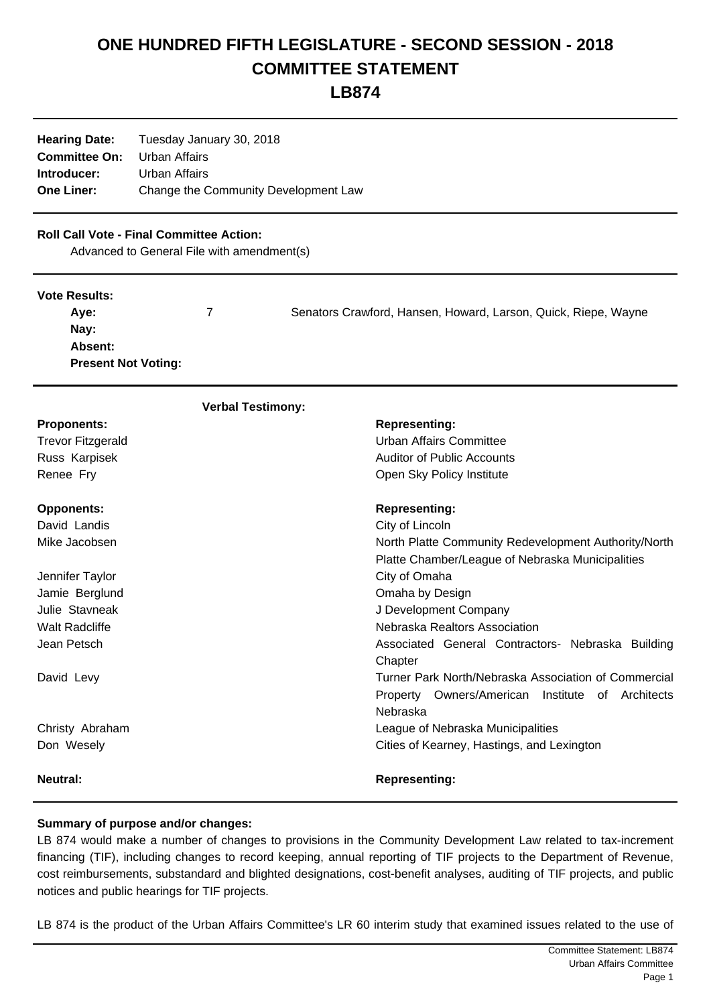# **ONE HUNDRED FIFTH LEGISLATURE - SECOND SESSION - 2018 COMMITTEE STATEMENT**

**LB874**

| Tuesday January 30, 2018             |
|--------------------------------------|
| Urban Affairs                        |
| Urban Affairs                        |
| Change the Community Development Law |
|                                      |

## **Roll Call Vote - Final Committee Action:**

Advanced to General File with amendment(s)

#### **Vote Results:**

| Ave:                       | Senators Crawford, Hansen, Howard, Larson, Quick, Riepe, Wayne |
|----------------------------|----------------------------------------------------------------|
| Nav:                       |                                                                |
| Absent:                    |                                                                |
| <b>Present Not Voting:</b> |                                                                |

| <b>Verbal Testimony:</b> |                                                      |
|--------------------------|------------------------------------------------------|
| <b>Proponents:</b>       | <b>Representing:</b>                                 |
| <b>Trevor Fitzgerald</b> | Urban Affairs Committee                              |
| Russ Karpisek            | <b>Auditor of Public Accounts</b>                    |
| Renee Fry                | Open Sky Policy Institute                            |
| <b>Opponents:</b>        | <b>Representing:</b>                                 |
| David Landis             | City of Lincoln                                      |
| Mike Jacobsen            | North Platte Community Redevelopment Authority/North |
|                          | Platte Chamber/League of Nebraska Municipalities     |
| Jennifer Taylor          | City of Omaha                                        |
| Jamie Berglund           | Omaha by Design                                      |
| Julie Stavneak           | J Development Company                                |
| <b>Walt Radcliffe</b>    | Nebraska Realtors Association                        |
| Jean Petsch              | Associated General Contractors- Nebraska Building    |
|                          | Chapter                                              |
| David Levy               | Turner Park North/Nebraska Association of Commercial |
|                          | Property Owners/American Institute of Architects     |
|                          | Nebraska                                             |
| Christy Abraham          | League of Nebraska Municipalities                    |
| Don Wesely               | Cities of Kearney, Hastings, and Lexington           |
| <b>Neutral:</b>          | <b>Representing:</b>                                 |

#### **Summary of purpose and/or changes:**

LB 874 would make a number of changes to provisions in the Community Development Law related to tax-increment financing (TIF), including changes to record keeping, annual reporting of TIF projects to the Department of Revenue, cost reimbursements, substandard and blighted designations, cost-benefit analyses, auditing of TIF projects, and public notices and public hearings for TIF projects.

LB 874 is the product of the Urban Affairs Committee's LR 60 interim study that examined issues related to the use of